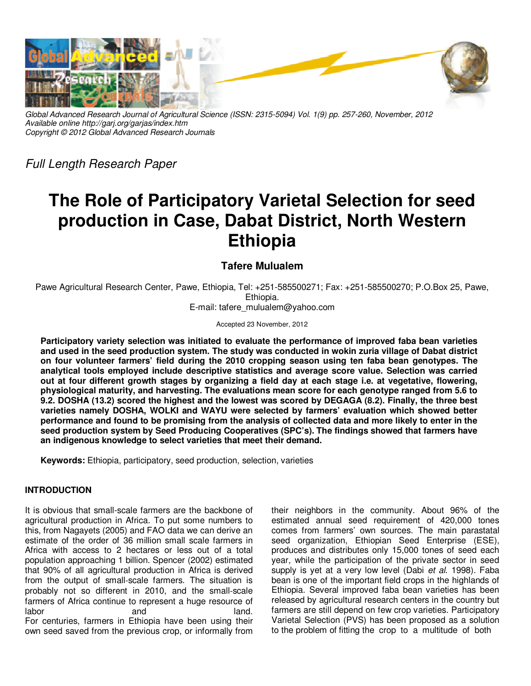

*Global Advanced Research Journal of Agricultural Science (ISSN: 2315-5094) Vol. 1(9) pp. 257-260, November, 2012 Available online http://garj.org/garjas/index.htm Copyright © 2012 Global Advanced Research Journals* 

*Full Length Research Paper* 

# **The Role of Participatory Varietal Selection for seed production in Case, Dabat District, North Western Ethiopia**

# **Tafere Mulualem**

Pawe Agricultural Research Center, Pawe, Ethiopia, Tel: +251-585500271; Fax: +251-585500270; P.O.Box 25, Pawe, Ethiopia.

E-mail: tafere\_mulualem@yahoo.com

Accepted 23 November, 2012

**Participatory variety selection was initiated to evaluate the performance of improved faba bean varieties and used in the seed production system. The study was conducted in wokin zuria village of Dabat district on four volunteer farmers' field during the 2010 cropping season using ten faba bean genotypes. The analytical tools employed include descriptive statistics and average score value. Selection was carried out at four different growth stages by organizing a field day at each stage i.e. at vegetative, flowering, physiological maturity, and harvesting. The evaluations mean score for each genotype ranged from 5.6 to 9.2. DOSHA (13.2) scored the highest and the lowest was scored by DEGAGA (8.2). Finally, the three best varieties namely DOSHA, WOLKI and WAYU were selected by farmers' evaluation which showed better performance and found to be promising from the analysis of collected data and more likely to enter in the seed production system by Seed Producing Cooperatives (SPC's). The findings showed that farmers have an indigenous knowledge to select varieties that meet their demand.** 

**Keywords:** Ethiopia, participatory, seed production, selection, varieties

# **INTRODUCTION**

It is obvious that small-scale farmers are the backbone of agricultural production in Africa. To put some numbers to this, from Nagayets (2005) and FAO data we can derive an estimate of the order of 36 million small scale farmers in Africa with access to 2 hectares or less out of a total population approaching 1 billion. Spencer (2002) estimated that 90% of all agricultural production in Africa is derived from the output of small‐scale farmers. The situation is probably not so different in 2010, and the small‐scale farmers of Africa continue to represent a huge resource of labor and and land. For centuries, farmers in Ethiopia have been using their own seed saved from the previous crop, or informally from

their neighbors in the community. About 96% of the estimated annual seed requirement of 420,000 tones comes from farmers' own sources. The main parastatal seed organization, Ethiopian Seed Enterprise (ESE), produces and distributes only 15,000 tones of seed each year, while the participation of the private sector in seed supply is yet at a very low level (Dabi *et al*. 1998). Faba bean is one of the important field crops in the highlands of Ethiopia. Several improved faba bean varieties has been released by agricultural research centers in the country but farmers are still depend on few crop varieties. Participatory Varietal Selection (PVS) has been proposed as a solution to the problem of fitting the crop to a multitude of both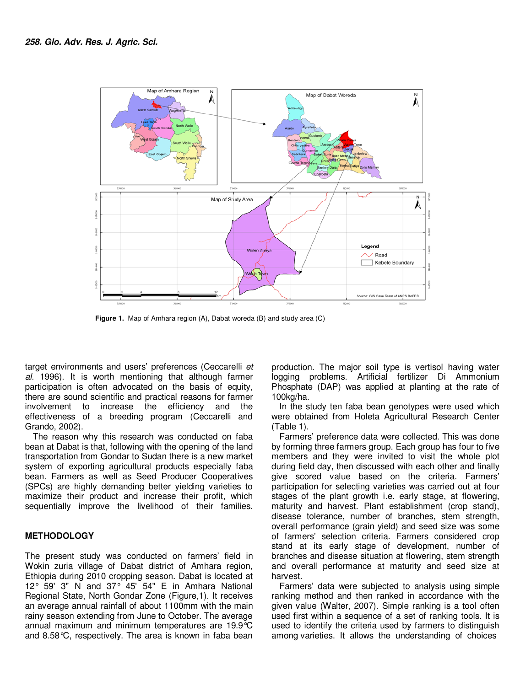

**Figure 1.** Map of Amhara region (A), Dabat woreda (B) and study area (C)

target environments and users' preferences (Ceccarelli *et al.* 1996). It is worth mentioning that although farmer participation is often advocated on the basis of equity, there are sound scientific and practical reasons for farmer involvement to increase the efficiency and the effectiveness of a breeding program (Ceccarelli and Grando, 2002).

The reason why this research was conducted on faba bean at Dabat is that, following with the opening of the land transportation from Gondar to Sudan there is a new market system of exporting agricultural products especially faba bean. Farmers as well as Seed Producer Cooperatives (SPCs) are highly demanding better yielding varieties to maximize their product and increase their profit, which sequentially improve the livelihood of their families.

### **METHODOLOGY**

The present study was conducted on farmers' field in Wokin zuria village of Dabat district of Amhara region, Ethiopia during 2010 cropping season. Dabat is located at 12° 59' 3" N and 37° 45' 54" E in Amhara National Regional State, North Gondar Zone (Figure,1). It receives an average annual rainfall of about 1100mm with the main rainy season extending from June to October. The average annual maximum and minimum temperatures are 19.9°C and 8.58°C, respectively. The area is known in faba bean

production. The major soil type is vertisol having water logging problems. Artificial fertilizer Di Ammonium Phosphate (DAP) was applied at planting at the rate of 100kg/ha.

In the study ten faba bean genotypes were used which were obtained from Holeta Agricultural Research Center (Table 1).

Farmers' preference data were collected. This was done by forming three farmers group. Each group has four to five members and they were invited to visit the whole plot during field day, then discussed with each other and finally give scored value based on the criteria. Farmers' participation for selecting varieties was carried out at four stages of the plant growth i.e. early stage, at flowering, maturity and harvest. Plant establishment (crop stand), disease tolerance, number of branches, stem strength, overall performance (grain yield) and seed size was some of farmers' selection criteria. Farmers considered crop stand at its early stage of development, number of branches and disease situation at flowering, stem strength and overall performance at maturity and seed size at harvest.

Farmers' data were subjected to analysis using simple ranking method and then ranked in accordance with the given value (Walter, 2007). Simple ranking is a tool often used first within a sequence of a set of ranking tools. It is used to identify the criteria used by farmers to distinguish among varieties. It allows the understanding of choices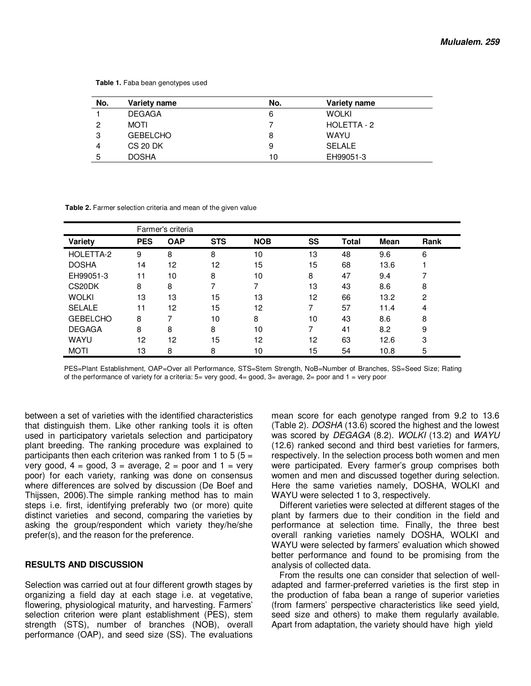**Table 1.** Faba bean genotypes used

| No. | Variety name    | No. | Variety name  |
|-----|-----------------|-----|---------------|
|     | <b>DEGAGA</b>   | 6   | <b>WOLKI</b>  |
| 2   | MOTI            |     | HOLETTA - 2   |
| 3   | <b>GEBELCHO</b> | 8   | <b>WAYU</b>   |
| 4   | <b>CS 20 DK</b> | 9   | <b>SELALE</b> |
| 5   | <b>DOSHA</b>    | 10  | EH99051-3     |

 **Table 2.** Farmer selection criteria and mean of the given value

|                 | Farmer's criteria |            |            |            |    |              |             |                |  |  |
|-----------------|-------------------|------------|------------|------------|----|--------------|-------------|----------------|--|--|
| Variety         | <b>PES</b>        | <b>OAP</b> | <b>STS</b> | <b>NOB</b> | SS | <b>Total</b> | <b>Mean</b> | Rank           |  |  |
| HOLETTA-2       | 9                 | 8          | 8          | 10         | 13 | 48           | 9.6         | 6              |  |  |
| <b>DOSHA</b>    | 14                | 12         | 12         | 15         | 15 | 68           | 13.6        |                |  |  |
| EH99051-3       | 11                | 10         | 8          | 10         | 8  | 47           | 9.4         |                |  |  |
| CS20DK          | 8                 | 8          | 7          | 7          | 13 | 43           | 8.6         | 8              |  |  |
| <b>WOLKI</b>    | 13                | 13         | 15         | 13         | 12 | 66           | 13.2        | $\overline{2}$ |  |  |
| <b>SELALE</b>   | 11                | 12         | 15         | 12         | ⇁  | 57           | 11.4        | 4              |  |  |
| <b>GEBELCHO</b> | 8                 |            | 10         | 8          | 10 | 43           | 8.6         | 8              |  |  |
| <b>DEGAGA</b>   | 8                 | 8          | 8          | 10         | 7  | 41           | 8.2         | 9              |  |  |
| <b>WAYU</b>     | 12                | 12         | 15         | 12         | 12 | 63           | 12.6        | 3              |  |  |
| <b>MOTI</b>     | 13                | 8          | 8          | 10         | 15 | 54           | 10.8        | 5              |  |  |

PES=Plant Establishment, OAP=Over all Performance, STS=Stem Strength, NoB=Number of Branches, SS=Seed Size; Rating of the performance of variety for a criteria: 5= very good, 4= good, 3= average, 2= poor and 1 = very poor

between a set of varieties with the identified characteristics that distinguish them. Like other ranking tools it is often used in participatory varietals selection and participatory plant breeding. The ranking procedure was explained to participants then each criterion was ranked from 1 to 5  $(5 =$ very good,  $4 = \text{good}$ ,  $3 = \text{average}$ ,  $2 = \text{poor}$  and  $1 = \text{very}$ poor) for each variety, ranking was done on consensus where differences are solved by discussion (De Boef and Thijssen, 2006).The simple ranking method has to main steps i.e. first, identifying preferably two (or more) quite distinct varieties and second, comparing the varieties by asking the group/respondent which variety they/he/she prefer(s), and the reason for the preference.

#### **RESULTS AND DISCUSSION**

Selection was carried out at four different growth stages by organizing a field day at each stage i.e. at vegetative, flowering, physiological maturity, and harvesting. Farmers' selection criterion were plant establishment (PES), stem strength (STS), number of branches (NOB), overall performance (OAP), and seed size (SS). The evaluations mean score for each genotype ranged from 9.2 to 13.6 (Table 2). *DOSHA* (13.6) scored the highest and the lowest was scored by *DEGAGA* (8.2). *WOLKI* (13.2) and *WAYU* (12.6) ranked second and third best varieties for farmers, respectively. In the selection process both women and men were participated. Every farmer's group comprises both women and men and discussed together during selection. Here the same varieties namely, DOSHA, WOLKI and WAYU were selected 1 to 3, respectively.

Different varieties were selected at different stages of the plant by farmers due to their condition in the field and performance at selection time. Finally, the three best overall ranking varieties namely DOSHA, WOLKI and WAYU were selected by farmers' evaluation which showed better performance and found to be promising from the analysis of collected data.

From the results one can consider that selection of welladapted and farmer-preferred varieties is the first step in the production of faba bean a range of superior varieties (from farmers' perspective characteristics like seed yield, seed size and others) to make them regularly available. Apart from adaptation, the variety should have high yield